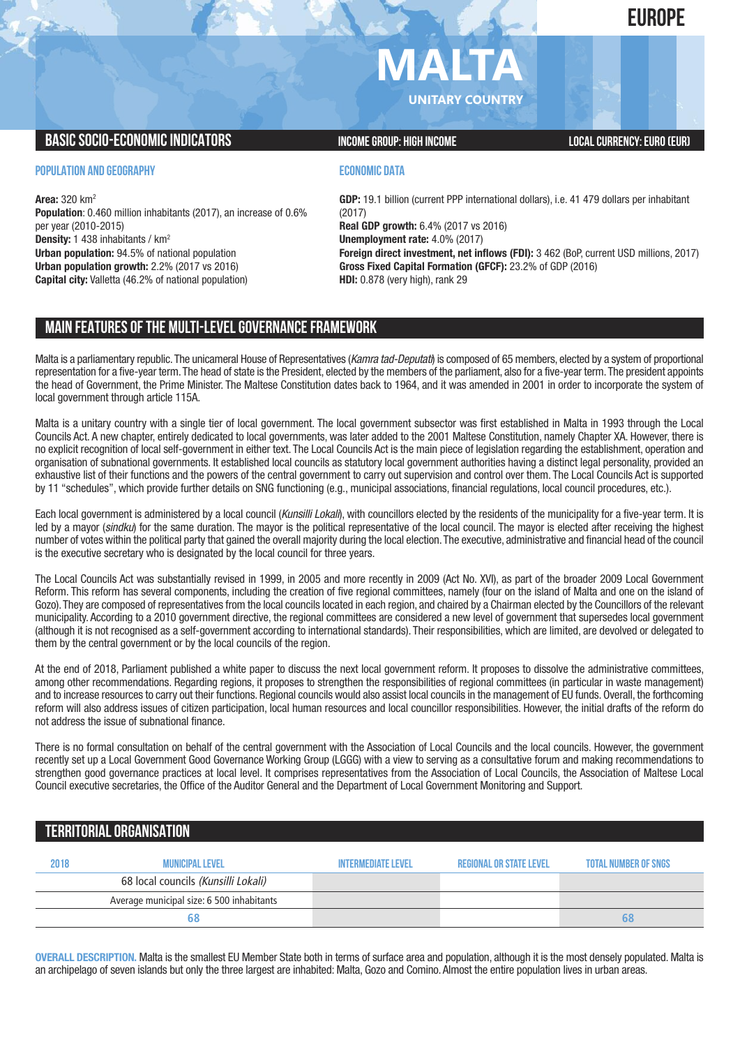**EUROPE**

# **MALTA**

**UNITARY COUNTRY**

## **BASIC SOCIO-ECONOMIC INDICATORS INCOME GROUP:** HIGH INCOME GROUP: HIGH INCOME

### **POPULATION AND GEOGRAPHY**

**Area:** 320 km2 **Population**: 0.460 million inhabitants (2017), an increase of 0.6% per year (2010-2015) **Density:** 1 438 inhabitants / km2 **Urban population:** 94.5% of national population **Urban population growth:** 2.2% (2017 vs 2016) **Capital city:** Valletta (46.2% of national population)

## **ECONOMIC DATA**

**GDP:** 19.1 billion (current PPP international dollars), i.e. 41 479 dollars per inhabitant (2017) **Real GDP growth:** 6.4% (2017 vs 2016) **Unemployment rate:** 4.0% (2017) **Foreign direct investment, net inflows (FDI):** 3 462 (BoP, current USD millions, 2017) **Gross Fixed Capital Formation (GFCF):** 23.2% of GDP (2016) **HDI:** 0.878 (very high), rank 29

# **MAIN FEATURESOFTHE MULTI-LEVELGOVERNANCEFRAMEWORK**

Malta is a parliamentary republic.The unicameral House of Representatives (*Kamra tad-Deputati*) is composed of 65 members, elected by a system of proportional representation for a five-year term.The head of state is the President, elected by the members of the parliament, also for a five-year term.The president appoints the head of Government, the Prime Minister. The Maltese Constitution dates back to 1964, and it was amended in 2001 in order to incorporate the system of local government through article 115A.

Malta is a unitary country with a single tier of local government. The local government subsector was first established in Malta in 1993 through the Local Councils Act. A new chapter, entirely dedicated to local governments, was later added to the 2001 Maltese Constitution, namely Chapter XA. However, there is no explicit recognition of local self-government in either text. The Local Councils Act is the main piece of legislation regarding the establishment, operation and organisation of subnational governments. It established local councils as statutory local government authorities having a distinct legal personality, provided an exhaustive list of their functions and the powers of the central government to carry out supervision and control over them. The Local Councils Act is supported by 11 "schedules", which provide further details on SNG functioning (e.g., municipal associations, financial regulations, local council procedures, etc.).

Each local government is administered by a local council (*Kunsilli Lokali*), with councillors elected by the residents of the municipality for a five-year term. It is led by a mayor (*sindku*) for the same duration. The mayor is the political representative of the local council. The mayor is elected after receiving the highest number of votes within the political party that gained the overall majority during the local election.The executive, administrative and financial head of the council is the executive secretary who is designated by the local council for three years.

The Local Councils Act was substantially revised in 1999, in 2005 and more recently in 2009 (Act No. XVI), as part of the broader 2009 Local Government Reform. This reform has several components, including the creation of five regional committees, namely (four on the island of Malta and one on the island of Gozo).They are composed of representatives from the local councils located in each region, and chaired by a Chairman elected by the Councillors of the relevant municipality. According to a 2010 government directive, the regional committees are considered a new level of government that supersedes local government (although it is not recognised as a self-government according to international standards). Their responsibilities, which are limited, are devolved or delegated to them by the central government or by the local councils of the region.

At the end of 2018, Parliament published a white paper to discuss the next local government reform. It proposes to dissolve the administrative committees, among other recommendations. Regarding regions, it proposes to strengthen the responsibilities of regional committees (in particular in waste management) and to increase resources to carry out their functions. Regional councils would also assist local councils in the management of EU funds. Overall, the forthcoming reform will also address issues of citizen participation, local human resources and local councillor responsibilities. However, the initial drafts of the reform do not address the issue of subnational finance.

There is no formal consultation on behalf of the central government with the Association of Local Councils and the local councils. However, the government recently set up a Local Government Good Governance Working Group (LGGG) with a view to serving as a consultative forum and making recommendations to strengthen good governance practices at local level. It comprises representatives from the Association of Local Councils, the Association of Maltese Local Council executive secretaries, the Office of the Auditor General and the Department of Local Government Monitoring and Support.

# **TERRITORIALORGANISATION**

| 2018 | MUNICIPAL LEVEL                           | <b>INTERMEDIATE LEVEL</b> | <b>REGIONAL OR STATE LEVEL</b> | <b>TOTAL NUMBER OF SNGS</b> |
|------|-------------------------------------------|---------------------------|--------------------------------|-----------------------------|
|      | 68 local councils (Kunsilli Lokali)       |                           |                                |                             |
|      | Average municipal size: 6 500 inhabitants |                           |                                |                             |
|      |                                           |                           |                                | ხბ                          |

**OVERALL DESCRIPTION.** Malta is the smallest EU Member State both in terms of surface area and population, although it is the most densely populated. Malta is an archipelago of seven islands but only the three largest are inhabited: Malta, Gozo and Comino. Almost the entire population lives in urban areas.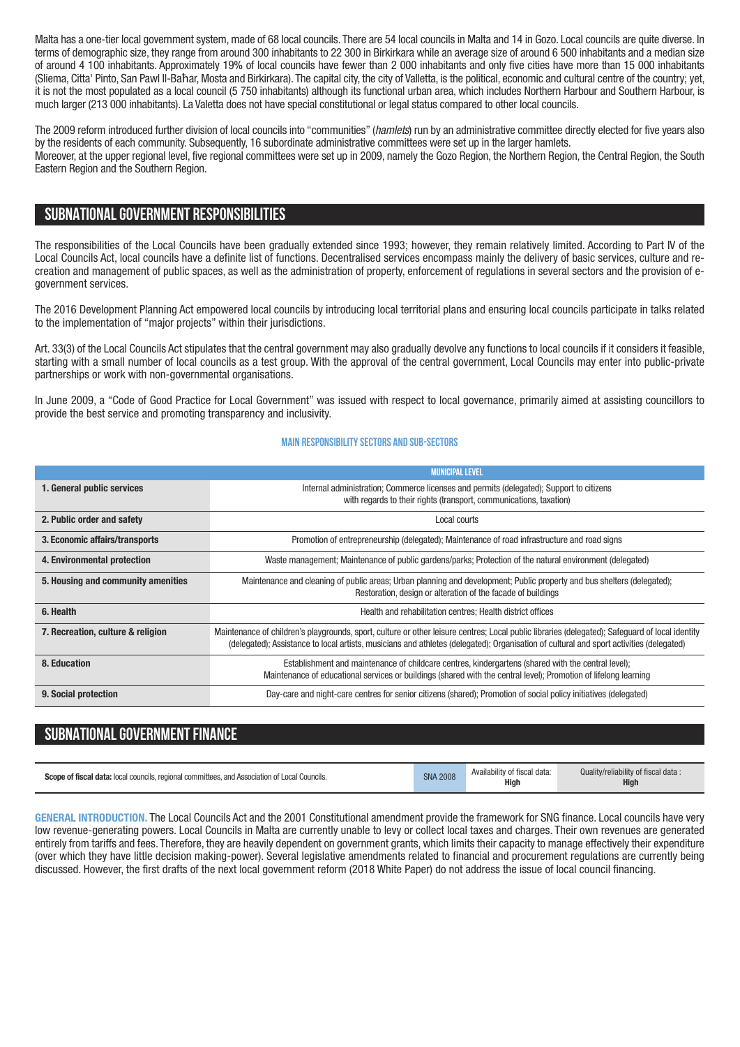Malta has a one-tier local government system, made of 68 local councils. There are 54 local councils in Malta and 14 in Gozo. Local councils are quite diverse. In terms of demographic size, they range from around 300 inhabitants to 22 300 in Birkirkara while an average size of around 6 500 inhabitants and a median size of around 4 100 inhabitants. Approximately 19% of local councils have fewer than 2 000 inhabitants and only five cities have more than 15 000 inhabitants (Sliema, Citta' Pinto, San Pawl Il-Baħar, Mosta and Birkirkara). The capital city, the city of Valletta, is the political, economic and cultural centre of the country; yet, it is not the most populated as a local council (5 750 inhabitants) although its functional urban area, which includes Northern Harbour and Southern Harbour, is much larger (213 000 inhabitants). La Valetta does not have special constitutional or legal status compared to other local councils.

The 2009 reform introduced further division of local councils into "communities" (*hamlets*) run by an administrative committee directly elected for five years also by the residents of each community. Subsequently, 16 subordinate administrative committees were set up in the larger hamlets. Moreover, at the upper regional level, five regional committees were set up in 2009, namely the Gozo Region, the Northern Region, the Central Region, the South Eastern Region and the Southern Region.

## **SUBNATIONALGOVERNMENT RESPONSIBILITIES**

The responsibilities of the Local Councils have been gradually extended since 1993; however, they remain relatively limited. According to Part IV of the Local Councils Act, local councils have a definite list of functions. Decentralised services encompass mainly the delivery of basic services, culture and recreation and management of public spaces, as well as the administration of property, enforcement of regulations in several sectors and the provision of egovernment services.

The 2016 Development Planning Act empowered local councils by introducing local territorial plans and ensuring local councils participate in talks related to the implementation of "major projects" within their jurisdictions.

Art. 33(3) of the Local Councils Act stipulates that the central government may also gradually devolve any functions to local councils if it considers it feasible, starting with a small number of local councils as a test group. With the approval of the central government, Local Councils may enter into public-private partnerships or work with non-governmental organisations.

In June 2009, a "Code of Good Practice for Local Government" was issued with respect to local governance, primarily aimed at assisting councillors to provide the best service and promoting transparency and inclusivity.

#### **Main responsibilitysectors and sub-sectors**

|                                    | <b>MUNICIPAL LEVEL</b>                                                                                                                                                                                                                                                                     |  |  |  |  |
|------------------------------------|--------------------------------------------------------------------------------------------------------------------------------------------------------------------------------------------------------------------------------------------------------------------------------------------|--|--|--|--|
| 1. General public services         | Internal administration; Commerce licenses and permits (delegated); Support to citizens<br>with regards to their rights (transport, communications, taxation)                                                                                                                              |  |  |  |  |
| 2. Public order and safety         | Local courts                                                                                                                                                                                                                                                                               |  |  |  |  |
| 3. Economic affairs/transports     | Promotion of entrepreneurship (delegated); Maintenance of road infrastructure and road signs                                                                                                                                                                                               |  |  |  |  |
| 4. Environmental protection        | Waste management; Maintenance of public gardens/parks; Protection of the natural environment (delegated)                                                                                                                                                                                   |  |  |  |  |
| 5. Housing and community amenities | Maintenance and cleaning of public areas; Urban planning and development; Public property and bus shelters (delegated);<br>Restoration, design or alteration of the facade of buildings                                                                                                    |  |  |  |  |
| 6. Health                          | Health and rehabilitation centres; Health district offices                                                                                                                                                                                                                                 |  |  |  |  |
| 7. Recreation, culture & religion  | Maintenance of children's playgrounds, sport, culture or other leisure centres; Local public libraries (delegated); Safeguard of local identity<br>(delegated); Assistance to local artists, musicians and athletes (delegated); Organisation of cultural and sport activities (delegated) |  |  |  |  |
| 8. Education                       | Establishment and maintenance of childcare centres, kindergartens (shared with the central level);<br>Maintenance of educational services or buildings (shared with the central level); Promotion of lifelong learning                                                                     |  |  |  |  |
| 9. Social protection               | Day-care and night-care centres for senior citizens (shared); Promotion of social policy initiatives (delegated)                                                                                                                                                                           |  |  |  |  |

## **SUBNATIONAL GOVERNMENT FINANCE**

| <b>Scope of fiscal data:</b> local councils, regional committees, and Association of Local Councils. | <b>SNA 2008</b> | Availability of fiscal data:<br>Hiah | Quality/reliability of fiscal data:<br>High |
|------------------------------------------------------------------------------------------------------|-----------------|--------------------------------------|---------------------------------------------|
|------------------------------------------------------------------------------------------------------|-----------------|--------------------------------------|---------------------------------------------|

**GENERAL INTRODUCTION.** The Local Councils Act and the 2001 Constitutional amendment provide the framework for SNG finance. Local councils have very low revenue-generating powers. Local Councils in Malta are currently unable to levy or collect local taxes and charges. Their own revenues are generated entirely from tariffs and fees. Therefore, they are heavily dependent on government grants, which limits their capacity to manage effectively their expenditure (over which they have little decision making-power). Several legislative amendments related to financial and procurement regulations are currently being discussed. However, the first drafts of the next local government reform (2018 White Paper) do not address the issue of local council financing.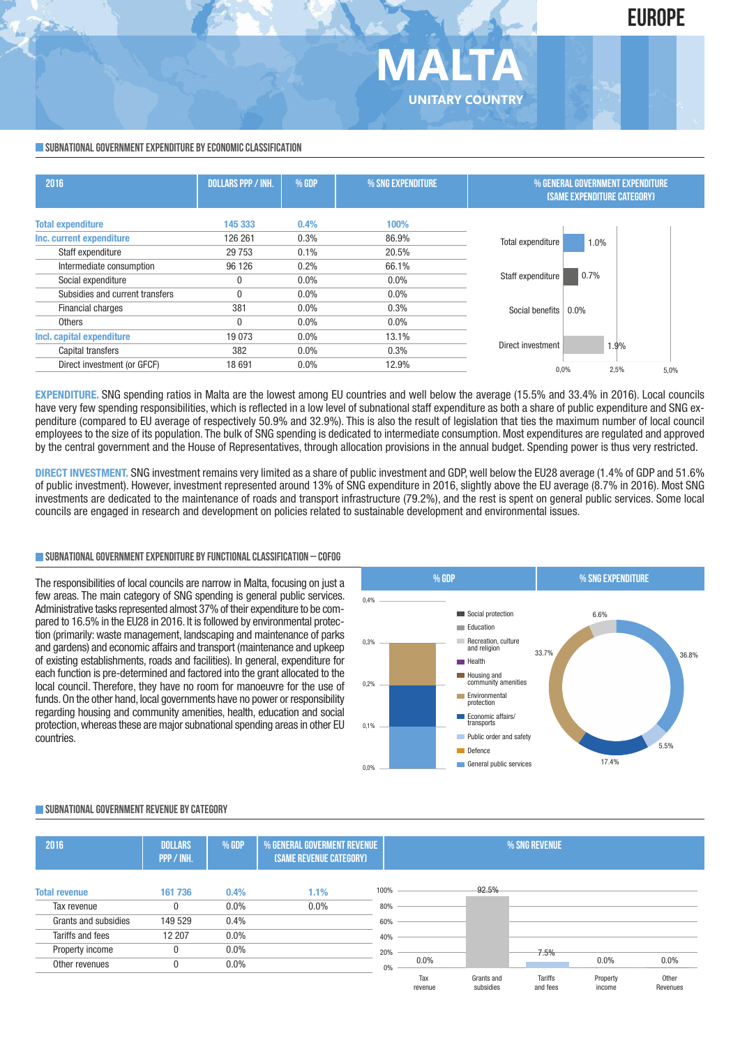

#### **SUBNATIONAL GOVERNMENT EXPENDITURE BY ECONOMIC CLASSIFICATION**

| 2016                            | <b>DOLLARS PPP / INH.</b> | % GDP | % SNG EXPENDITURE | % GENERAL GOVERNMENT EXPENDITURE<br><b>(SAME EXPENDITURE CATEGORY)</b> |  |  |
|---------------------------------|---------------------------|-------|-------------------|------------------------------------------------------------------------|--|--|
| <b>Total expenditure</b>        | 145 333                   | 0.4%  | 100%              |                                                                        |  |  |
| Inc. current expenditure        | 126 261                   | 0.3%  | 86.9%             | Total expenditure<br>1.0%                                              |  |  |
| Staff expenditure               | 29 7 5 3                  | 0.1%  | 20.5%             |                                                                        |  |  |
| Intermediate consumption        | 96 126                    | 0.2%  | 66.1%             |                                                                        |  |  |
| Social expenditure              | O                         | 0.0%  | $0.0\%$           | 0.7%<br>Staff expenditure                                              |  |  |
| Subsidies and current transfers |                           | 0.0%  | $0.0\%$           |                                                                        |  |  |
| <b>Financial charges</b>        | 381                       | 0.0%  | 0.3%              | 0.0%<br>Social benefits                                                |  |  |
| <b>Others</b>                   |                           | 0.0%  | $0.0\%$           |                                                                        |  |  |
| Incl. capital expenditure       | 19 0 73                   | 0.0%  | 13.1%             |                                                                        |  |  |
| Capital transfers               | 382                       | 0.0%  | 0.3%              | Direct investment<br>1.9%                                              |  |  |
| Direct investment (or GFCF)     | 18 691                    | 0.0%  | 12.9%             | 2,5%<br>0,0%<br>5,0%                                                   |  |  |

**MALTA**

**UNITARY COUNTRY**

**EXPENDITURE.** SNG spending ratios in Malta are the lowest among EU countries and well below the average (15.5% and 33.4% in 2016). Local councils have very few spending responsibilities, which is reflected in a low level of subnational staff expenditure as both a share of public expenditure and SNG expenditure (compared to EU average of respectively 50.9% and 32.9%). This is also the result of legislation that ties the maximum number of local council employees to the size of its population. The bulk of SNG spending is dedicated to intermediate consumption. Most expenditures are regulated and approved by the central government and the House of Representatives, through allocation provisions in the annual budget. Spending power is thus very restricted.

**DIRECT INVESTMENT.** SNG investment remains very limited as a share of public investment and GDP, well below the EU28 average (1.4% of GDP and 51.6% of public investment). However, investment represented around 13% of SNG expenditure in 2016, slightly above the EU average (8.7% in 2016). Most SNG investments are dedicated to the maintenance of roads and transport infrastructure (79.2%), and the rest is spent on general public services. Some local councils are engaged in research and development on policies related to sustainable development and environmental issues.

#### **SUBNATIONALGOVERNMENTEXPENDITURE BYFUNCTIONALCLASSIFICATION – COFOG**

The responsibilities of local councils are narrow in Malta, focusing on just a few areas. The main category of SNG spending is general public services. Administrative tasks represented almost 37% of their expenditure to be compared to 16.5% in the EU28 in 2016. It is followed by environmental protection (primarily: waste management, landscaping and maintenance of parks and gardens) and economic affairs and transport (maintenance and upkeep of existing establishments, roads and facilities). In general, expenditure for each function is pre-determined and factored into the grant allocated to the local council. Therefore, they have no room for manoeuvre for the use of funds. On the other hand, local governments have no power or responsibility regarding housing and community amenities, health, education and social protection,whereas these are major subnational spending areas in other EU countries.



#### **SUBNATIONALGOVERNMENT REVENUE BYCATEGORY**

| 2016                 | <b>DOLLARS</b><br>PPP / INH. | % GDP<br>% GENERAL GOVERMENT REVENUE<br>% SNG REVENUE<br>(SAME REVENUE CATEGORY) |         |      |                |                         |                            |                    |                   |
|----------------------|------------------------------|----------------------------------------------------------------------------------|---------|------|----------------|-------------------------|----------------------------|--------------------|-------------------|
| <b>Total revenue</b> | 161 736                      | 0.4%                                                                             | 1.1%    | 100% |                | 92.5%                   |                            |                    |                   |
| Tax revenue          | 0                            | $0.0\%$                                                                          | $0.0\%$ | 80%  |                |                         |                            |                    |                   |
| Grants and subsidies | 149 529                      | 0.4%                                                                             |         | 60%  |                |                         |                            |                    |                   |
| Tariffs and fees     | 12 207                       | 0.0%                                                                             |         | 40%  |                |                         |                            |                    |                   |
| Property income      | 0                            | $0.0\%$                                                                          |         | 20%  |                |                         | 7.5%                       |                    |                   |
| Other revenues       | 0                            | $0.0\%$                                                                          |         | 0%   | 0.0%           |                         |                            | 0.0%               | $0.0\%$           |
|                      |                              |                                                                                  |         |      | Tax<br>revenue | Grants and<br>subsidies | <b>Tariffs</b><br>and fees | Property<br>income | Other<br>Revenues |